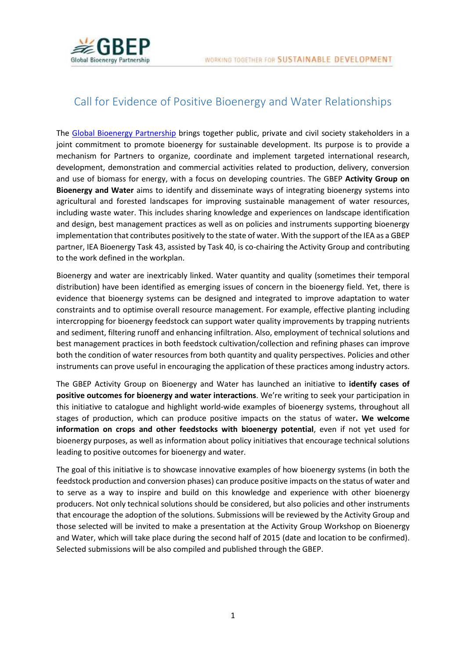

## Call for Evidence of Positive Bioenergy and Water Relationships

The [Global Bioenergy Partnership](http://www.globalbioenergy.org/) brings together public, private and civil society stakeholders in a joint commitment to promote bioenergy for sustainable development. Its purpose is to provide a mechanism for Partners to organize, coordinate and implement targeted international research, development, demonstration and commercial activities related to production, delivery, conversion and use of biomass for energy, with a focus on developing countries. The GBEP **Activity Group on Bioenergy and Water** aims to identify and disseminate ways of integrating bioenergy systems into agricultural and forested landscapes for improving sustainable management of water resources, including waste water. This includes sharing knowledge and experiences on landscape identification and design, best management practices as well as on policies and instruments supporting bioenergy implementation that contributes positively to the state of water. With the support of the IEA as a GBEP partner, IEA Bioenergy Task 43, assisted by Task 40, is co-chairing the Activity Group and contributing to the work defined in the workplan.

Bioenergy and water are inextricably linked. Water quantity and quality (sometimes their temporal distribution) have been identified as emerging issues of concern in the bioenergy field. Yet, there is evidence that bioenergy systems can be designed and integrated to improve adaptation to water constraints and to optimise overall resource management. For example, effective planting including intercropping for bioenergy feedstock can support water quality improvements by trapping nutrients and sediment, filtering runoff and enhancing infiltration. Also, employment of technical solutions and best management practices in both feedstock cultivation/collection and refining phases can improve both the condition of water resources from both quantity and quality perspectives. Policies and other instruments can prove useful in encouraging the application of these practices among industry actors.

The GBEP Activity Group on Bioenergy and Water has launched an initiative to **identify cases of positive outcomes for bioenergy and water interactions**. We're writing to seek your participation in this initiative to catalogue and highlight world-wide examples of bioenergy systems, throughout all stages of production, which can produce positive impacts on the status of water**. We welcome information on crops and other feedstocks with bioenergy potential**, even if not yet used for bioenergy purposes, as well as information about policy initiatives that encourage technical solutions leading to positive outcomes for bioenergy and water.

The goal of this initiative is to showcase innovative examples of how bioenergy systems (in both the feedstock production and conversion phases) can produce positive impacts on the status of water and to serve as a way to inspire and build on this knowledge and experience with other bioenergy producers. Not only technical solutions should be considered, but also policies and other instruments that encourage the adoption of the solutions. Submissions will be reviewed by the Activity Group and those selected will be invited to make a presentation at the Activity Group Workshop on Bioenergy and Water, which will take place during the second half of 2015 (date and location to be confirmed). Selected submissions will be also compiled and published through the GBEP.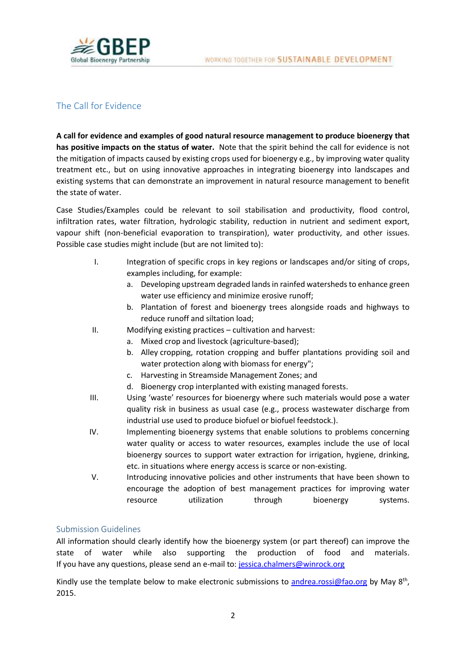

## The Call for Evidence

**A call for evidence and examples of good natural resource management to produce bioenergy that has positive impacts on the status of water.** Note that the spirit behind the call for evidence is not the mitigation of impacts caused by existing crops used for bioenergy e.g., by improving water quality treatment etc., but on using innovative approaches in integrating bioenergy into landscapes and existing systems that can demonstrate an improvement in natural resource management to benefit the state of water.

Case Studies/Examples could be relevant to soil stabilisation and productivity, flood control, infiltration rates, water filtration, hydrologic stability, reduction in nutrient and sediment export, vapour shift (non-beneficial evaporation to transpiration), water productivity, and other issues. Possible case studies might include (but are not limited to):

- I. Integration of specific crops in key regions or landscapes and/or siting of crops, examples including, for example:
	- a. Developing upstream degraded lands in rainfed watersheds to enhance green water use efficiency and minimize erosive runoff;
	- b. Plantation of forest and bioenergy trees alongside roads and highways to reduce runoff and siltation load;
- II. Modifying existing practices cultivation and harvest:
	- a. Mixed crop and livestock (agriculture-based);
	- b. Alley cropping, rotation cropping and buffer plantations providing soil and water protection along with biomass for energy";
	- c. Harvesting in Streamside Management Zones; and
	- d. Bioenergy crop interplanted with existing managed forests.
- III. Using 'waste' resources for bioenergy where such materials would pose a water quality risk in business as usual case (e.g., process wastewater discharge from industrial use used to produce biofuel or biofuel feedstock.).
- IV. Implementing bioenergy systems that enable solutions to problems concerning water quality or access to water resources, examples include the use of local bioenergy sources to support water extraction for irrigation, hygiene, drinking, etc. in situations where energy access is scarce or non-existing.
- V. Introducing innovative policies and other instruments that have been shown to encourage the adoption of best management practices for improving water resource utilization through bioenergy systems.

## Submission Guidelines

All information should clearly identify how the bioenergy system (or part thereof) can improve the state of water while also supporting the production of food and materials. If you have any questions, please send an e-mail to: [jessica.chalmers@winrock.org](mailto:jessica.chalmers@winrock.org)

Kindly use the template below to make electronic submissions to [andrea.rossi@fao.org](mailto:andrea.rossi@fao.org) by May 8<sup>th</sup>, 2015.